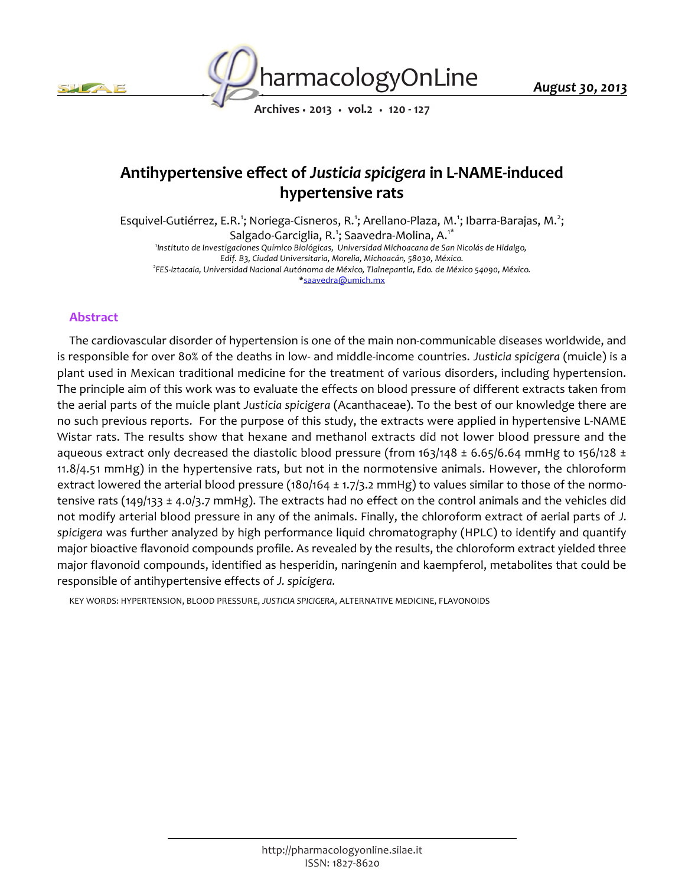



*August 30, 2013*

*Archives • 2013 • vol.2 • 120 - 127*

# *Antihypertensive effect of Justicia spicigera in L-NAME-induced hypertensive rats*

*Esquivel-Gutiérrez, E.R.<sup>1</sup> ; Noriega-Cisneros, R.<sup>1</sup> ; Arellano-Plaza, M.<sup>1</sup> ; Ibarra-Barajas, M.<sup>2</sup> ; Salgado-Garciglia, R.<sup>1</sup> ; Saavedra-Molina, A.1\* 1 Instituto de Investigaciones Químico Biológicas, Universidad Michoacana de San Nicolás de Hidalgo, Edif. B3, Ciudad Universitaria, Morelia, Michoacán, 58030, México. 2 FES-Iztacala, Universidad Nacional Autónoma de México, Tlalnepantla, Edo. de México 54090, México. \*saavedra@umich.mx*

## *Abstract*

*The cardiovascular disorder of hypertension is one of the main non-communicable diseases worldwide, and is responsible for over 80% of the deaths in low- and middle-income countries. Justicia spicigera (muicle) is a plant used in Mexican traditional medicine for the treatment of various disorders, including hypertension. The principle aim of this work was to evaluate the effects on blood pressure of different extracts taken from the aerial parts of the muicle plant Justicia spicigera (Acanthaceae). To the best of our knowledge there are no such previous reports. For the purpose of this study, the extracts were applied in hypertensive L-NAME Wistar rats. The results show that hexane and methanol extracts did not lower blood pressure and the aqueous extract only decreased the diastolic blood pressure (from 163/148 ± 6.65/6.64 mmHg to 156/128 ± 11.8/4.51 mmHg) in the hypertensive rats, but not in the normotensive animals. However, the chloroform extract lowered the arterial blood pressure (180/164 ± 1.7/3.2 mmHg) to values similar to those of the normotensive rats (149/133 ± 4.0/3.7 mmHg). The extracts had no effect on the control animals and the vehicles did not modify arterial blood pressure in any of the animals. Finally, the chloroform extract of aerial parts of J. spicigera was further analyzed by high performance liquid chromatography (HPLC) to identify and quantify major bioactive flavonoid compounds profile. As revealed by the results, the chloroform extract yielded three major flavonoid compounds, identified as hesperidin, naringenin and kaempferol, metabolites that could be responsible of antihypertensive effects of J. spicigera.*

*KEY WORDS: HYPERTENSION, BLOOD PRESSURE, JUSTICIA SPICIGERA, ALTERNATIVE MEDICINE, FLAVONOIDS*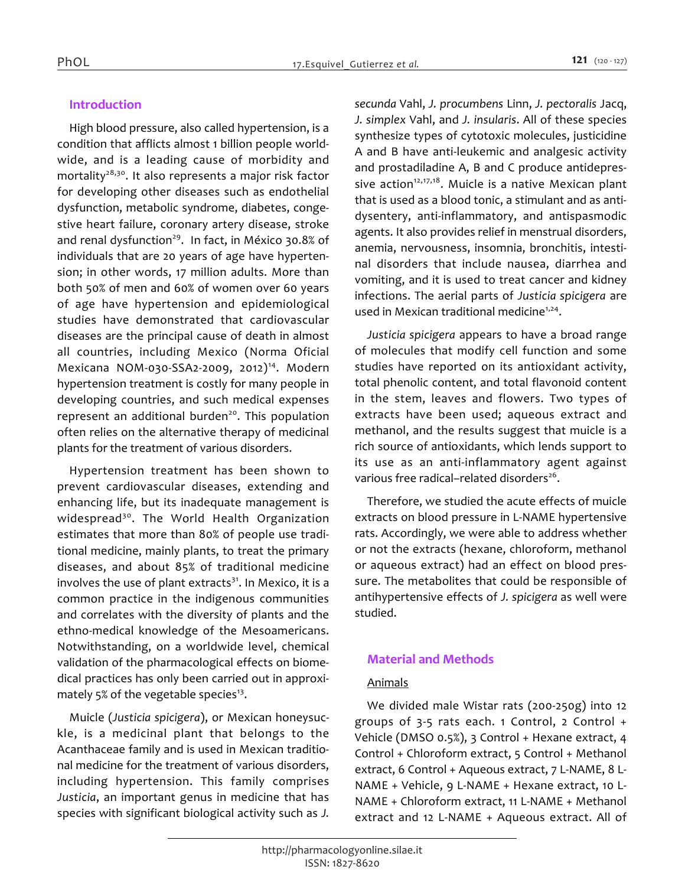# *Introduction*

*High blood pressure, also called hypertension, is a condition that afflicts almost 1 billion people worldwide, and is a leading cause of morbidity and mortality28,30. It also represents a major risk factor for developing other diseases such as endothelial dysfunction, metabolic syndrome, diabetes, congestive heart failure, coronary artery disease, stroke and renal dysfunction<sup>29</sup>. In fact, in México 30.8% of individuals that are 20 years of age have hypertension; in other words, 17 million adults. More than both 50% of men and 60% of women over 60 years of age have hypertension and epidemiological studies have demonstrated that cardiovascular diseases are the principal cause of death in almost all countries, including Mexico (Norma Oficial Mexicana NOM-030-SSA2-2009, 2012)<sup>14</sup>. Modern hypertension treatment is costly for many people in developing countries, and such medical expenses represent an additional burden<sup>20</sup>. This population often relies on the alternative therapy of medicinal plants for the treatment of various disorders.*

*Hypertension treatment has been shown to prevent cardiovascular diseases, extending and enhancing life, but its inadequate management is widespread<sup>30</sup>. The World Health Organization estimates that more than 80% of people use traditional medicine, mainly plants, to treat the primary diseases, and about 85% of traditional medicine involves the use of plant extracts<sup>31</sup>. In Mexico, it is a common practice in the indigenous communities and correlates with the diversity of plants and the ethno-medical knowledge of the Mesoamericans. Notwithstanding, on a worldwide level, chemical validation of the pharmacological effects on biomedical practices has only been carried out in approximately 5% of the vegetable species<sup>13</sup> .*

*Muicle (Justicia spicigera), or Mexican honeysuckle, is a medicinal plant that belongs to the Acanthaceae family and is used in Mexican traditional medicine for the treatment of various disorders, including hypertension. This family comprises Justicia, an important genus in medicine that has species with significant biological activity such as J.* 

*secunda Vahl, J. procumbens Linn, J. pectoralis Jacq, J. simplex Vahl, and J. insularis. All of these species synthesize types of cytotoxic molecules, justicidine A and B have anti-leukemic and analgesic activity and prostadiladine A, B and C produce antidepressive action12,17,18. Muicle is a native Mexican plant that is used as a blood tonic, a stimulant and as antidysentery, anti-inflammatory, and antispasmodic agents. It also provides relief in menstrual disorders, anemia, nervousness, insomnia, bronchitis, intestinal disorders that include nausea, diarrhea and vomiting, and it is used to treat cancer and kidney infections. The aerial parts of Justicia spicigera are used in Mexican traditional medicine1,24 .*

*Justicia spicigera appears to have a broad range of molecules that modify cell function and some studies have reported on its antioxidant activity, total phenolic content, and total flavonoid content in the stem, leaves and flowers. Two types of extracts have been used; aqueous extract and methanol, and the results suggest that muicle is a rich source of antioxidants, which lends support to its use as an anti-inflammatory agent against various free radical–related disorders<sup>26</sup> .*

*Therefore, we studied the acute effects of muicle extracts on blood pressure in L-NAME hypertensive rats. Accordingly, we were able to address whether or not the extracts (hexane, chloroform, methanol or aqueous extract) had an effect on blood pressure. The metabolites that could be responsible of antihypertensive effects of J. spicigera as well were studied.*

# *Material and Methods*

#### *Animals*

*We divided male Wistar rats (200-250g) into 12 groups of 3-5 rats each. 1 Control, 2 Control + Vehicle (DMSO 0.5%), 3 Control + Hexane extract, 4 Control + Chloroform extract, 5 Control + Methanol extract, 6 Control + Aqueous extract, 7 L-NAME, 8 L-NAME + Vehicle, 9 L-NAME + Hexane extract, 10 L-NAME + Chloroform extract, 11 L-NAME + Methanol extract and 12 L-NAME + Aqueous extract. All of*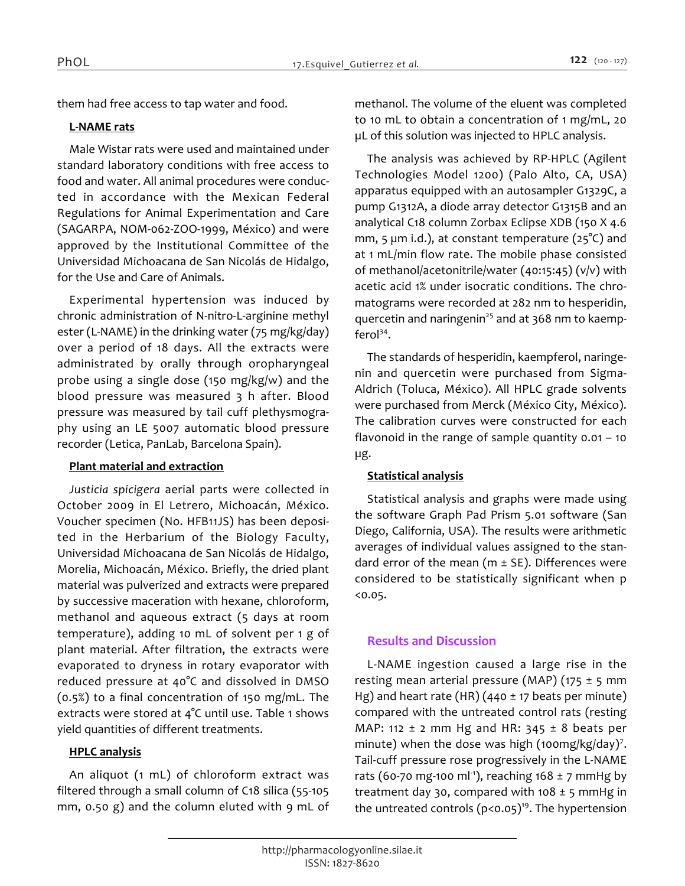*them had free access to tap water and food.*

### *L-NAME rats*

*Male Wistar rats were used and maintained under standard laboratory conditions with free access to food and water. All animal procedures were conducted in accordance with the Mexican Federal Regulations for Animal Experimentation and Care (SAGARPA, NOM-062-ZOO-1999, México) and were approved by the Institutional Committee of the Universidad Michoacana de San Nicolás de Hidalgo, for the Use and Care of Animals.*

*Experimental hypertension was induced by chronic administration of N-nitro-L-arginine methyl ester (L-NAME) in the drinking water (75 mg/kg/day) over a period of 18 days. All the extracts were administrated by orally through oropharyngeal probe using a single dose (150 mg/kg/w) and the blood pressure was measured 3 h after. Blood pressure was measured by tail cuff plethysmography using an LE 5007 automatic blood pressure recorder (Letica, PanLab, Barcelona Spain).*

#### *Plant material and extraction*

*Justicia spicigera aerial parts were collected in October 2009 in El Letrero, Michoacán, México. Voucher specimen (No. HFB11JS) has been deposited in the Herbarium of the Biology Faculty, Universidad Michoacana de San Nicolás de Hidalgo, Morelia, Michoacán, México. Briefly, the dried plant material was pulverized and extracts were prepared by successive maceration with hexane, chloroform, methanol and aqueous extract (5 days at room temperature), adding 10 mL of solvent per 1 g of plant material. After filtration, the extracts were evaporated to dryness in rotary evaporator with reduced pressure at 40°C and dissolved in DMSO (0.5%) to a final concentration of 150 mg/mL. The extracts were stored at 4°C until use. Table 1 shows yield quantities of different treatments.*

## *HPLC analysis*

*An aliquot (1 mL) of chloroform extract was filtered through a small column of C18 silica (55-105 mm, 0.50 g) and the column eluted with 9 mL of*  *methanol. The volume of the eluent was completed to 10 mL to obtain a concentration of 1 mg/mL, 20 µL of this solution was injected to HPLC analysis.*

*The analysis was achieved by RP-HPLC (Agilent Technologies Model 1200) (Palo Alto, CA, USA) apparatus equipped with an autosampler G1329C, a pump G1312A, a diode array detector G1315B and an analytical C18 column Zorbax Eclipse XDB (150 X 4.6 mm, 5 µm i.d.), at constant temperature (25°C) and at 1 mL/min flow rate. The mobile phase consisted of methanol/acetonitrile/water (40:15:45) (v/v) with acetic acid 1% under isocratic conditions. The chromatograms were recorded at 282 nm to hesperidin, quercetin and naringenin<sup>25</sup> and at 368 nm to kaempferol<sup>34</sup> .*

*The standards of hesperidin, kaempferol, naringenin and quercetin were purchased from Sigma-Aldrich (Toluca, México). All HPLC grade solvents were purchased from Merck (México City, México). The calibration curves were constructed for each flavonoid in the range of sample quantity 0.01 – 10 µg.*

## *Statistical analysis*

*Statistical analysis and graphs were made using the software Graph Pad Prism 5.01 software (San Diego, California, USA). The results were arithmetic averages of individual values assigned to the standard error of the mean (m ± SE). Differences were considered to be statistically significant when p <0.05.*

## *Results and Discussion*

*L-NAME ingestion caused a large rise in the resting mean arterial pressure (MAP) (175 ± 5 mm Hg) and heart rate (HR) (440 ± 17 beats per minute) compared with the untreated control rats (resting MAP: 112 ± 2 mm Hg and HR: 345 ± 8 beats per minute) when the dose was high (100mg/kg/day)<sup>7</sup> . Tail-cuff pressure rose progressively in the L-NAME rats (60-70 mg-100 ml-1), reaching 168 ± 7 mmHg by treatment day 30, compared with 108 ± 5 mmHg in the untreated controls (p<0.05)<sup>19</sup>. The hypertension*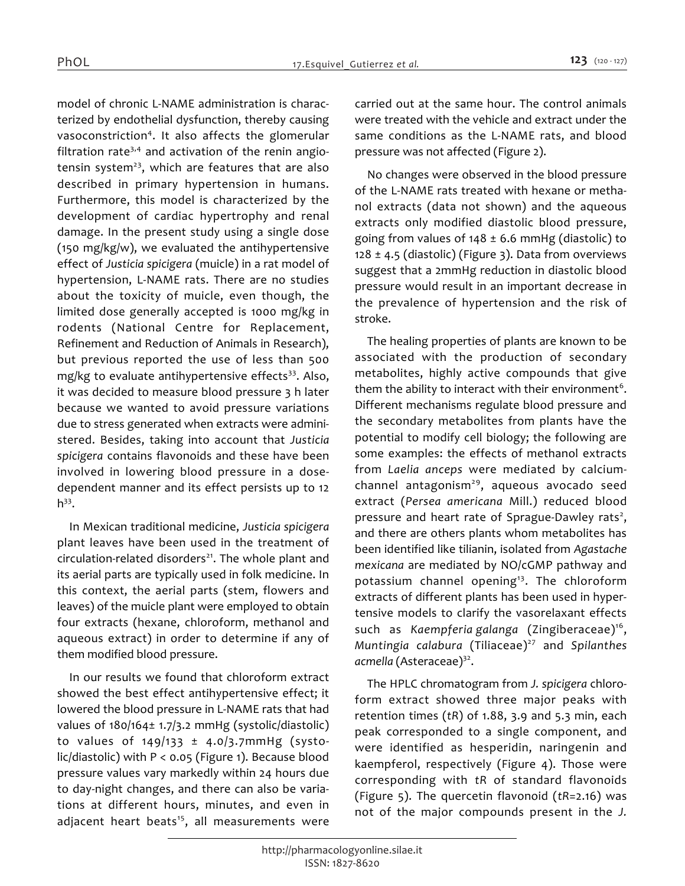*model of chronic L-NAME administration is characterized by endothelial dysfunction, thereby causing vasoconstriction<sup>4</sup> . It also affects the glomerular filtration rate3,4 and activation of the renin angiotensin system<sup>23</sup>, which are features that are also described in primary hypertension in humans. Furthermore, this model is characterized by the development of cardiac hypertrophy and renal damage. In the present study using a single dose (150 mg/kg/w), we evaluated the antihypertensive effect of Justicia spicigera (muicle) in a rat model of hypertension, L-NAME rats. There are no studies about the toxicity of muicle, even though, the limited dose generally accepted is 1000 mg/kg in rodents (National Centre for Replacement, Refinement and Reduction of Animals in Research), but previous reported the use of less than 500 mg/kg to evaluate antihypertensive effects<sup>33</sup>. Also, it was decided to measure blood pressure 3 h later because we wanted to avoid pressure variations due to stress generated when extracts were administered. Besides, taking into account that Justicia spicigera contains flavonoids and these have been involved in lowering blood pressure in a dosedependent manner and its effect persists up to 12 h 33 .*

*In Mexican traditional medicine, Justicia spicigera plant leaves have been used in the treatment of circulation-related disorders<sup>21</sup>. The whole plant and its aerial parts are typically used in folk medicine. In this context, the aerial parts (stem, flowers and leaves) of the muicle plant were employed to obtain four extracts (hexane, chloroform, methanol and aqueous extract) in order to determine if any of them modified blood pressure.*

*In our results we found that chloroform extract showed the best effect antihypertensive effect; it lowered the blood pressure in L-NAME rats that had values of 180/164± 1.7/3.2 mmHg (systolic/diastolic) to values of 149/133 ± 4.0/3.7mmHg (systolic/diastolic) with P < 0.05 (Figure 1). Because blood pressure values vary markedly within 24 hours due to day-night changes, and there can also be variations at different hours, minutes, and even in adjacent heart beats<sup>15</sup>, all measurements were*  *carried out at the same hour. The control animals were treated with the vehicle and extract under the same conditions as the L-NAME rats, and blood pressure was not affected (Figure 2).*

*No changes were observed in the blood pressure of the L-NAME rats treated with hexane or methanol extracts (data not shown) and the aqueous extracts only modified diastolic blood pressure, going from values of 148 ± 6.6 mmHg (diastolic) to 128 ± 4.5 (diastolic) (Figure 3). Data from overviews suggest that a 2mmHg reduction in diastolic blood pressure would result in an important decrease in the prevalence of hypertension and the risk of stroke.*

*The healing properties of plants are known to be associated with the production of secondary metabolites, highly active compounds that give them the ability to interact with their environment<sup>6</sup> . Different mechanisms regulate blood pressure and the secondary metabolites from plants have the potential to modify cell biology; the following are some examples: the effects of methanol extracts from Laelia anceps were mediated by calciumchannel antagonism<sup>29</sup>, aqueous avocado seed extract (Persea americana Mill.) reduced blood pressure and heart rate of Sprague-Dawley rats<sup>2</sup> , and there are others plants whom metabolites has been identified like tilianin, isolated from Agastache mexicana are mediated by NO/cGMP pathway and potassium channel opening<sup>13</sup>. The chloroform extracts of different plants has been used in hypertensive models to clarify the vasorelaxant effects such as Kaempferia galanga (Zingiberaceae)<sup>16</sup> , Muntingia calabura (Tiliaceae)<sup>27</sup> and Spilanthes acmella (Asteraceae)<sup>32</sup> .*

*The HPLC chromatogram from J. spicigera chloroform extract showed three major peaks with retention times (tR) of 1.88, 3.9 and 5.3 min, each peak corresponded to a single component, and were identified as hesperidin, naringenin and kaempferol, respectively (Figure 4). Those were corresponding with tR of standard flavonoids (Figure 5). The quercetin flavonoid (tR=2.16) was not of the major compounds present in the J.*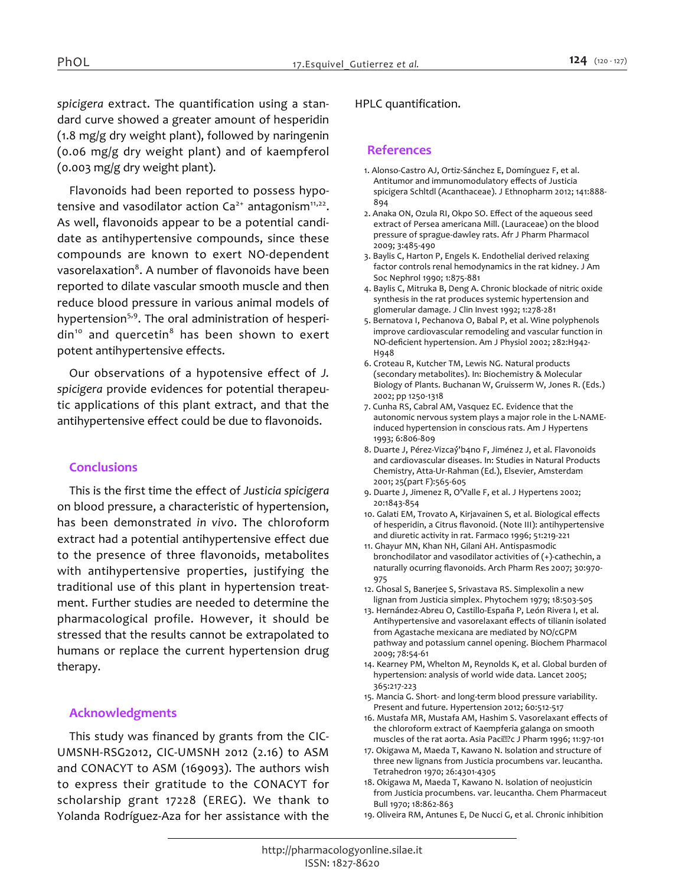*spicigera extract. The quantification using a standard curve showed a greater amount of hesperidin (1.8 mg/g dry weight plant), followed by naringenin (0.06 mg/g dry weight plant) and of kaempferol (0.003 mg/g dry weight plant).*

*Flavonoids had been reported to possess hypotensive and vasodilator action Ca2+ antagonism11,22 . As well, flavonoids appear to be a potential candidate as antihypertensive compounds, since these compounds are known to exert NO-dependent vasorelaxation<sup>8</sup> . A number of flavonoids have been reported to dilate vascular smooth muscle and then reduce blood pressure in various animal models of hypertension5,9. The oral administration of hesperidin<sup>10</sup> and quercetin<sup>8</sup> has been shown to exert potent antihypertensive effects.*

*Our observations of a hypotensive effect of J. spicigera provide evidences for potential therapeutic applications of this plant extract, and that the antihypertensive effect could be due to flavonoids.*

## *Conclusions*

*This is the first time the effect of Justicia spicigera on blood pressure, a characteristic of hypertension, has been demonstrated in vivo. The chloroform extract had a potential antihypertensive effect due to the presence of three flavonoids, metabolites with antihypertensive properties, justifying the traditional use of this plant in hypertension treatment. Further studies are needed to determine the pharmacological profile. However, it should be stressed that the results cannot be extrapolated to humans or replace the current hypertension drug therapy.*

#### *Acknowledgments*

*This study was financed by grants from the CIC-UMSNH-RSG2012, CIC-UMSNH 2012 (2.16) to ASM and CONACYT to ASM (169093). The authors wish to express their gratitude to the CONACYT for scholarship grant 17228 (EREG). We thank to Yolanda Rodríguez-Aza for her assistance with the* 

#### *HPLC quantification.*

#### *References*

- *1. Alonso-Castro AJ, Ortiz-Sánchez E, Domínguez F, et al. Antitumor and immunomodulatory effects of Justicia spicigera Schltdl (Acanthaceae). J Ethnopharm 2012; 141:888- 894*
- *2. Anaka ON, Ozula RI, Okpo SO. Effect of the aqueous seed extract of Persea americana Mill. (Lauraceae) on the blood pressure of sprague-dawley rats. Afr J Pharm Pharmacol 2009; 3:485-490*
- *3. Baylis C, Harton P, Engels K. Endothelial derived relaxing factor controls renal hemodynamics in the rat kidney. J Am Soc Nephrol 1990; 1:875-881*
- *4. Baylis C, Mitruka B, Deng A. Chronic blockade of nitric oxide synthesis in the rat produces systemic hypertension and glomerular damage. J Clin Invest 1992; 1:278-281*
- *5. Bernatova I, Pechanova O, Babal P, et al. Wine polyphenols improve cardiovascular remodeling and vascular function in NO-deficient hypertension. Am J Physiol 2002; 282:H942- H948*
- *6. Croteau R, Kutcher TM, Lewis NG. Natural products (secondary metabolites). In: Biochemistry & Molecular Biology of Plants. Buchanan W, Gruisserm W, Jones R. (Eds.) 2002; pp 1250-1318*
- *7. Cunha RS, Cabral AM, Vasquez EC. Evidence that the autonomic nervous system plays a major role in the L-NAMEinduced hypertension in conscious rats. Am J Hypertens 1993; 6:806-809*
- *8. Duarte J, Pérez-Vizcaý́'b4no F, Jiménez J, et al. Flavonoids and cardiovascular diseases. In: Studies in Natural Products Chemistry, Atta-Ur-Rahman (Ed.), Elsevier, Amsterdam 2001; 25(part F):565-605*
- *9. Duarte J, Jimenez R, O'Valle F, et al. J Hypertens 2002; 20:1843-854*
- *10. Galati EM, Trovato A, Kirjavainen S, et al. Biological effects of hesperidin, a Citrus flavonoid. (Note III): antihypertensive and diuretic activity in rat. Farmaco 1996; 51:219-221*
- *11. Ghayur MN, Khan NH, Gilani AH. Antispasmodic bronchodilator and vasodilator activities of (+)-cathechin, a naturally ocurring flavonoids. Arch Pharm Res 2007; 30:970- 975*
- *12. Ghosal S, Banerjee S, Srivastava RS. Simplexolin a new lignan from Justicia simplex. Phytochem 1979; 18:503-505*
- *13. Hernández-Abreu O, Castillo-España P, León Rivera I, et al. Antihypertensive and vasorelaxant effects of tilianin isolated from Agastache mexicana are mediated by NO/cGPM pathway and potassium cannel opening. Biochem Pharmacol 2009; 78:54-61*
- *14. Kearney PM, Whelton M, Reynolds K, et al. Global burden of hypertension: analysis of world wide data. Lancet 2005; 365:217-223*
- *15. Mancia G. Short- and long-term blood pressure variability. Present and future. Hypertension 2012; 60:512-517*
- *16. Mustafa MR, Mustafa AM, Hashim S. Vasorelaxant effects of the chloroform extract of Kaempferia galanga on smooth muscles of the rat aorta. Asia Paciÿ?c J Pharm 1996; 11:97-101*
- *17. Okigawa M, Maeda T, Kawano N. Isolation and structure of three new lignans from Justicia procumbens var. leucantha. Tetrahedron 1970; 26:4301-4305*
- *18. Okigawa M, Maeda T, Kawano N. Isolation of neojusticin from Justicia procumbens. var. leucantha. Chem Pharmaceut Bull 1970; 18:862-863*
- *19. Oliveira RM, Antunes E, De Nucci G, et al. Chronic inhibition*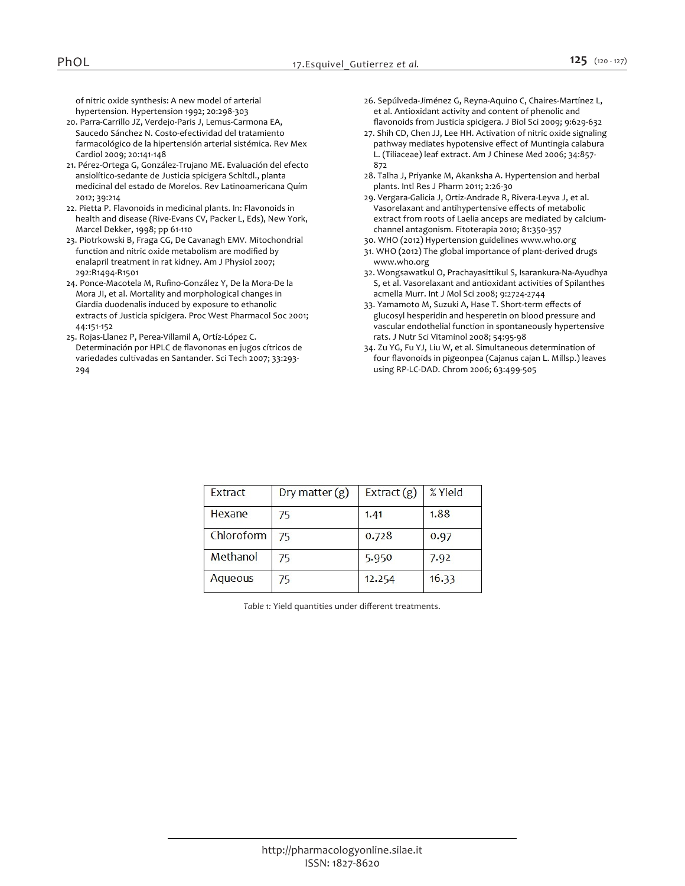*of nitric oxide synthesis: A new model of arterial hypertension. Hypertension 1992; 20:298-303*

- *20. Parra-Carrillo JZ, Verdejo-Paris J, Lemus-Carmona EA, Saucedo Sánchez N. Costo-efectividad del tratamiento farmacológico de la hipertensión arterial sistémica. Rev Mex Cardiol 2009; 20:141-148*
- *21. Pérez-Ortega G, González-Trujano ME. Evaluación del efecto ansiolítico-sedante de Justicia spicigera Schltdl., planta medicinal del estado de Morelos. Rev Latinoamericana Quím 2012; 39:214*
- *22. Pietta P. Flavonoids in medicinal plants. In: Flavonoids in health and disease (Rive-Evans CV, Packer L, Eds), New York, Marcel Dekker, 1998; pp 61-110*
- *23. Piotrkowski B, Fraga CG, De Cavanagh EMV. Mitochondrial function and nitric oxide metabolism are modified by enalapril treatment in rat kidney. Am J Physiol 2007; 292:R1494-R1501*
- *24. Ponce-Macotela M, Rufino-González Y, De la Mora-De la Mora JI, et al. Mortality and morphological changes in Giardia duodenalis induced by exposure to ethanolic extracts of Justicia spicigera. Proc West Pharmacol Soc 2001; 44:151-152*
- *25. Rojas-Llanez P, Perea-Villamil A, Ortíz-López C. Determinación por HPLC de flavononas en jugos cítricos de variedades cultivadas en Santander. Sci Tech 2007; 33:293- 294*
- *26. Sepúlveda-Jiménez G, Reyna-Aquino C, Chaires-Martínez L, et al. Antioxidant activity and content of phenolic and flavonoids from Justicia spicigera. J Biol Sci 2009; 9:629-632*
- *27. Shih CD, Chen JJ, Lee HH. Activation of nitric oxide signaling pathway mediates hypotensive effect of Muntingia calabura L. (Tiliaceae) leaf extract. Am J Chinese Med 2006; 34:857- 872*
- *28. Talha J, Priyanke M, Akanksha A. Hypertension and herbal plants. Intl Res J Pharm 2011; 2:26-30*
- *29. Vergara-Galicia J, Ortiz-Andrade R, Rivera-Leyva J, et al. Vasorelaxant and antihypertensive effects of metabolic extract from roots of Laelia anceps are mediated by calciumchannel antagonism. Fitoterapia 2010; 81:350-357*
- *30. WHO (2012) Hypertension guidelines www.who.org 31. WHO (2012) The global importance of plant-derived drugs www.who.org*
- *32. Wongsawatkul O, Prachayasittikul S, Isarankura-Na-Ayudhya S, et al. Vasorelaxant and antioxidant activities of Spilanthes acmella Murr. Int J Mol Sci 2008; 9:2724-2744*
- *33. Yamamoto M, Suzuki A, Hase T. Short-term effects of glucosyl hesperidin and hesperetin on blood pressure and vascular endothelial function in spontaneously hypertensive rats. J Nutr Sci Vitaminol 2008; 54:95-98*
- *34. Zu YG, Fu YJ, Liu W, et al. Simultaneous determination of four flavonoids in pigeonpea (Cajanus cajan L. Millsp.) leaves using RP-LC-DAD. Chrom 2006; 63:499-505*

| Extract    | Dry matter $(g)$ | Extract $(g)$ | % Yield |
|------------|------------------|---------------|---------|
| Hexane     | 75               | 1.41          | 1.88    |
| Chloroform | 75               | 0.728         | 0.97    |
| Methanol   | 75               | 5.950         | 7.92    |
| Aqueous    | 75               | 12.254        | 16.33   |

*Table 1: Yield quantities under different treatments.*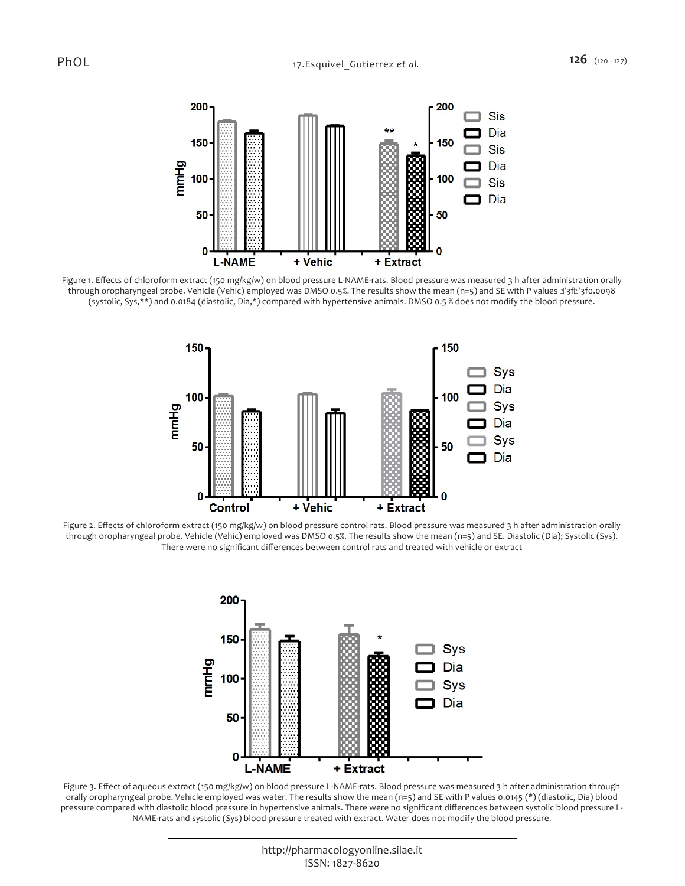

*Figure 1. Effects of chloroform extract (150 mg/kg/w) on blood pressure L-NAME-rats. Blood pressure was measured 3 h after administration orally*  through oropharyngeal probe. Vehicle (Vehic) employed was DMSO 0.5%. The results show the mean (n=5) and SE with P values @'3f@'3f0.0098 *(systolic, Sys,\*\*) and 0.0184 (diastolic, Dia,\*) compared with hypertensive animals. DMSO 0.5 % does not modify the blood pressure.*



*Figure 2. Effects of chloroform extract (150 mg/kg/w) on blood pressure control rats. Blood pressure was measured 3 h after administration orally through oropharyngeal probe. Vehicle (Vehic) employed was DMSO 0.5%. The results show the mean (n=5) and SE. Diastolic (Dia); Systolic (Sys). There were no significant differences between control rats and treated with vehicle or extract*



*Figure 3. Effect of aqueous extract (150 mg/kg/w) on blood pressure L-NAME-rats. Blood pressure was measured 3 h after administration through orally oropharyngeal probe. Vehicle employed was water. The results show the mean (n=5) and SE with P values 0.0145 (\*) (diastolic, Dia) blood pressure compared with diastolic blood pressure in hypertensive animals. There were no significant differences between systolic blood pressure L-NAME-rats and systolic (Sys) blood pressure treated with extract. Water does not modify the blood pressure.*